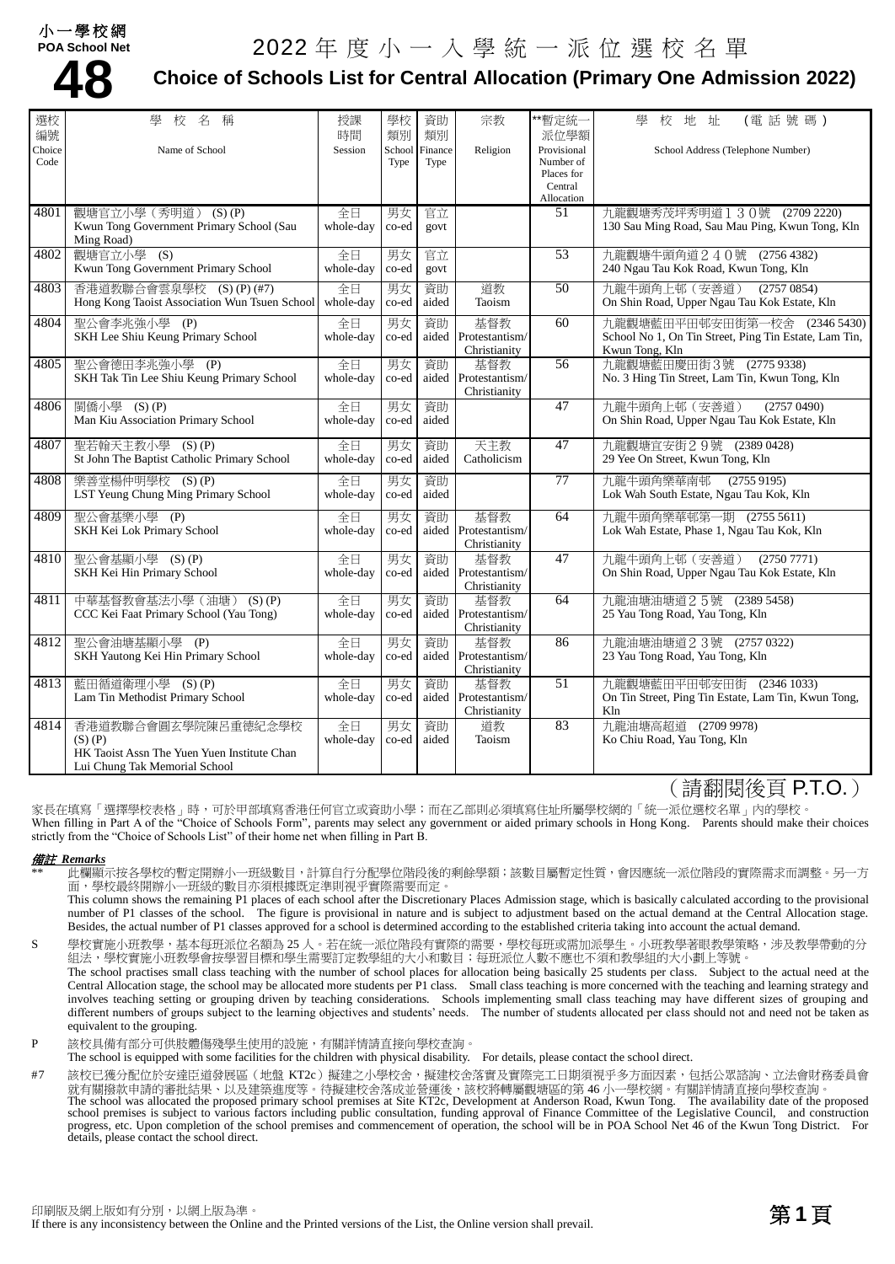#### 小一學校網 **POA School Net**

# 2022 年度小一入學統一派位選校名單



### **Choice of Schools List for Central Allocation (Primary One Admission 2022)**

| 選校             | 校名稱<br>學                                                       | 授課              | 學校             | 資助              | 宗教                             | **暫定統一                   | (電話號碼)<br>壆<br>校地址                                                          |
|----------------|----------------------------------------------------------------|-----------------|----------------|-----------------|--------------------------------|--------------------------|-----------------------------------------------------------------------------|
| 編號             |                                                                | 時間              | 類別             | 類別              |                                | 派位學額                     |                                                                             |
| Choice<br>Code | Name of School                                                 | Session         | School<br>Type | Finance<br>Type | Religion                       | Provisional<br>Number of | School Address (Telephone Number)                                           |
|                |                                                                |                 |                |                 |                                | Places for               |                                                                             |
|                |                                                                |                 |                |                 |                                | Central<br>Allocation    |                                                                             |
| 4801           | 觀塘官立小學 (秀明道) (S)(P)                                            | 全日              | 男女             | 官立              |                                | 51                       | 九龍觀塘秀茂坪秀明道130號 (2709 2220)                                                  |
|                | Kwun Tong Government Primary School (Sau<br>Ming Road)         | whole-day       | co-ed          | govt            |                                |                          | 130 Sau Ming Road, Sau Mau Ping, Kwun Tong, Kln                             |
| 4802           | 觀塘官立小學 (S)                                                     | 全日              | 男女             | 官立              |                                | 53                       | 九龍觀塘牛頭角道240號 (27564382)                                                     |
|                | Kwun Tong Government Primary School                            | whole-day       | co-ed          | govt            |                                |                          | 240 Ngau Tau Kok Road, Kwun Tong, Kln                                       |
| 4803           | 香港道教聯合會雲泉學校 (S)(P)(#7)                                         | 全日              | 男女             | 資助              | 道教                             | 50                       | 九龍牛頭角上邨 (安善道)<br>(27570854)                                                 |
|                | Hong Kong Taoist Association Wun Tsuen School                  | whole-day       | co-ed          | aided           | Taoism                         |                          | On Shin Road, Upper Ngau Tau Kok Estate, Kln                                |
| 4804           | 聖公會李兆強小學 (P)                                                   | 全日              | 男女             | 資助              | 基督教                            | 60                       | 九龍觀塘藍田平田邨安田街第一校舍<br>(23465430)                                              |
|                | SKH Lee Shiu Keung Primary School                              | whole-day       | co-ed          | aided           | Protestantism/                 |                          | School No 1, On Tin Street, Ping Tin Estate, Lam Tin,                       |
|                |                                                                |                 |                |                 | Christianity                   |                          | Kwun Tong, Kln                                                              |
| 4805           | 聖公會德田李兆強小學<br>(P)<br>SKH Tak Tin Lee Shiu Keung Primary School | 全日<br>whole-day | 男女<br>co-ed    | 資助<br>aided     | 基督教<br>Protestantism/          | 56                       | 九龍觀塘藍田慶田街3號<br>(27759338)<br>No. 3 Hing Tin Street, Lam Tin, Kwun Tong, Kln |
|                |                                                                |                 |                |                 | Christianity                   |                          |                                                                             |
| 4806           | 閩僑小學 (S)(P)                                                    | 全日              | 男女             | 資助              |                                | 47                       | 九龍牛頭角上邨 (安善道)<br>(27570490)                                                 |
|                | Man Kiu Association Primary School                             | whole-day       | co-ed          | aided           |                                |                          | On Shin Road, Upper Ngau Tau Kok Estate, Kln                                |
| 4807           | 聖若翰天主教小學<br>$(S)$ $(P)$                                        | 全日              | 男女             | 資助              | 天主教                            | 47                       | 九龍觀塘宜安街29號 (2389 0428)                                                      |
|                | St John The Baptist Catholic Primary School                    | whole-day       | co-ed          | aided           | Catholicism                    |                          | 29 Yee On Street, Kwun Tong, Kln                                            |
| 4808           |                                                                |                 |                |                 |                                | 77                       | (27559195)                                                                  |
|                | 樂善堂楊仲明學校 (S)(P)<br>LST Yeung Chung Ming Primary School         | 全日<br>whole-day | 男女<br>co-ed    | 資助<br>aided     |                                |                          | 九龍牛頭角樂華南邨<br>Lok Wah South Estate, Ngau Tau Kok, Kln                        |
|                |                                                                |                 |                |                 |                                |                          |                                                                             |
| 4809           | 聖公會基樂小學 (P)                                                    | 全日              | 男女             | 資助              | 基督教                            | $\overline{64}$          | 九龍牛頭角樂華邨第一期 (2755 5611)                                                     |
|                | SKH Kei Lok Primary School                                     | whole-day       | co-ed          | aided           | Protestantism/<br>Christianity |                          | Lok Wah Estate, Phase 1, Ngau Tau Kok, Kln                                  |
| 4810           | 聖公會基顯小學 (S)(P)                                                 | 全日              | 男女             | 資助              | 基督教                            | 47                       | 九龍牛頭角上邨 (安善道)<br>(2750 7771)                                                |
|                | SKH Kei Hin Primary School                                     | whole-day       | co-ed          | aided           | Protestantism/                 |                          | On Shin Road, Upper Ngau Tau Kok Estate, Kln                                |
|                |                                                                |                 |                |                 | Christianity                   |                          |                                                                             |
| 4811           | 中華基督教會基法小學 (油塘) (S) (P)                                        | 全日              | 男女             | 資助              | 基督教                            | $\overline{64}$          | 九龍油塘油塘道25號 (2389 5458)                                                      |
|                | CCC Kei Faat Primary School (Yau Tong)                         | whole-day       | co-ed          | aided           | Protestantism/<br>Christianity |                          | 25 Yau Tong Road, Yau Tong, Kln                                             |
| 4812           | 聖公會油塘基顯小學 (P)                                                  | 全日              | 男女             | 資助              | 基督教                            | 86                       | 九龍油塘油塘道2 3號 (2757 0322)                                                     |
|                | SKH Yautong Kei Hin Primary School                             | whole-day       | co-ed          | aided           | Protestantism/                 |                          | 23 Yau Tong Road, Yau Tong, Kln                                             |
|                |                                                                |                 |                |                 | Christianity                   |                          |                                                                             |
| 4813           | 藍田循道衛理小學<br>$(S)$ $(P)$                                        | 全日              | 男女             | 資助              | 基督教                            | 51                       | 九龍觀塘藍田平田邨安田街<br>(23461033)                                                  |
|                | Lam Tin Methodist Primary School                               | whole-day       | co-ed          | aided           | Protestantism/<br>Christianity |                          | On Tin Street, Ping Tin Estate, Lam Tin, Kwun Tong,<br>Kln                  |
| 4814           | 香港道教聯合會圓玄學院陳呂重德紀念學校                                            | 全日              | 男女             | 資助              | 道教                             | 83                       | 九龍油塘高超道 (2709 9978)                                                         |
|                | $(S)$ $(P)$                                                    | whole-day       | co-ed          | aided           | Taoism                         |                          | Ko Chiu Road, Yau Tong, Kln                                                 |
|                | HK Taoist Assn The Yuen Yuen Institute Chan                    |                 |                |                 |                                |                          |                                                                             |
|                | Lui Chung Tak Memorial School                                  |                 |                |                 |                                |                          |                                                                             |

### (請翻閱後頁 P.T.O.)

家長在填寫「選擇學校表格」時,可於甲部填寫香港任何官立或資助小學;而在乙部則必須填寫住址所屬學校網的「統一派位選校名單」內的學校。 When filling in Part A of the "Choice of Schools Form", parents may select any government or aided primary schools in Hong Kong. Parents should make their choices strictly from the "Choice of Schools List" of their home net when filling in Part B.

#### 備註 *Remarks*

此欄顯示按各學校的暫定開辦小一班級數目,計算自行分配學位階段後的剩餘學額;該數目屬暫定性質,會因應統一派位階段的實際需求而調整。另一方 面,學校最終開辦小一班級的數目亦須根據既定準則視乎實際需要而定。

This column shows the remaining P1 places of each school after the Discretionary Places Admission stage, which is basically calculated according to the provisional number of P1 classes of the school. The figure is provisional in nature and is subject to adjustment based on the actual demand at the Central Allocation stage. Besides, the actual number of P1 classes approved for a school is determined according to the established criteria taking into account the actual demand.

S 學校實施小班教學,基本每班派位名額為 25 人。若在統一派位階段有實際的需要,學校每班或需加派學生。小班教學著眼教學策略,涉及教學帶動的分 組法,學校實施小班教學會按學習目標和學生需要訂定教學組的大小和數目;每班派位人數不應也不須和教學組的大小劃上等號。 The school practises small class teaching with the number of school places for allocation being basically 25 students per class. Subject to the actual need at the

Central Allocation stage, the school may be allocated more students per P1 class. Small class teaching is more concerned with the teaching and learning strategy and involves teaching setting or grouping driven by teaching considerations. Schools implementing small class teaching may have different sizes of grouping and different numbers of groups subject to the learning objectives and students' needs. The number of students allocated per class should not and need not be taken as equivalent to the grouping.

P 該校具備有部分可供肢體傷殘學生使用的設施,有關詳情請直接向學校查詢。

The school is equipped with some facilities for the children with physical disability. For details, please contact the school direct.

#7 該校已獲分配位於安達臣道發展區 (地盤 KT2c)擬建之小學校舍,擬建校舍落實及實際完工日期須視乎多方面因素,包括公眾諮詢、立法會財務委員會 就有關撥款申請的審批結果、以及建築進度等。待擬建校舍落成並營運後,該校將轉屬觀塘區的第 46 小一學校網。有關詳情請直接向學校查詢。 The school was allocated the proposed primary school premises at Site KT2c, Development at Anderson Road, Kwun Tong. The availability date of the proposed

school premises is subject to various factors including public consultation, funding approval of Finance Committee of the Legislative Council, and construction progress, etc. Upon completion of the school premises and commencement of operation, the school will be in POA School Net 46 of the Kwun Tong District. For details, please contact the school direct.